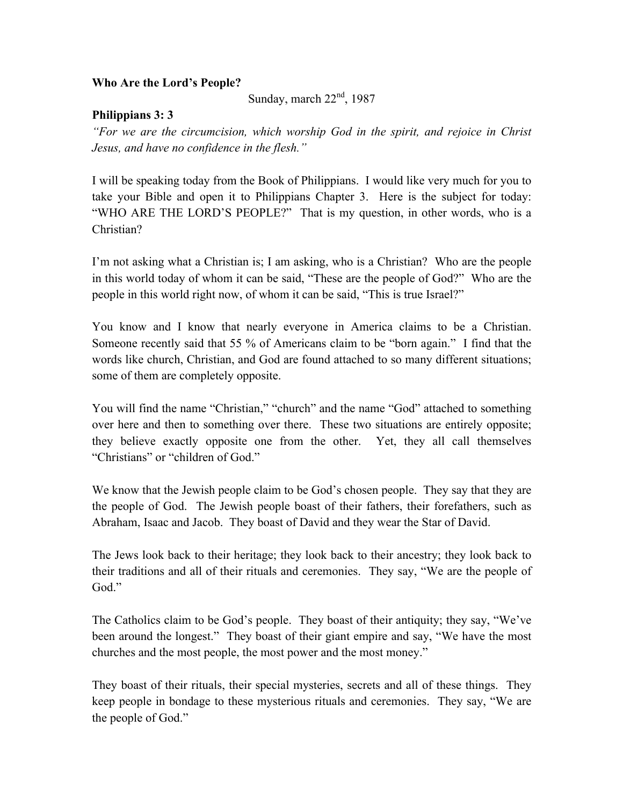## **Who Are the Lord's People?**

Sunday, march  $22<sup>nd</sup>$ , 1987

## **Philippians 3: 3**

*"For we are the circumcision, which worship God in the spirit, and rejoice in Christ Jesus, and have no confidence in the flesh."*

I will be speaking today from the Book of Philippians. I would like very much for you to take your Bible and open it to Philippians Chapter 3. Here is the subject for today: "WHO ARE THE LORD'S PEOPLE?" That is my question, in other words, who is a Christian?

I'm not asking what a Christian is; I am asking, who is a Christian? Who are the people in this world today of whom it can be said, "These are the people of God?" Who are the people in this world right now, of whom it can be said, "This is true Israel?"

You know and I know that nearly everyone in America claims to be a Christian. Someone recently said that 55 % of Americans claim to be "born again." I find that the words like church, Christian, and God are found attached to so many different situations; some of them are completely opposite.

You will find the name "Christian," "church" and the name "God" attached to something over here and then to something over there. These two situations are entirely opposite; they believe exactly opposite one from the other. Yet, they all call themselves "Christians" or "children of God."

We know that the Jewish people claim to be God's chosen people. They say that they are the people of God. The Jewish people boast of their fathers, their forefathers, such as Abraham, Isaac and Jacob. They boast of David and they wear the Star of David.

The Jews look back to their heritage; they look back to their ancestry; they look back to their traditions and all of their rituals and ceremonies. They say, "We are the people of God."

The Catholics claim to be God's people. They boast of their antiquity; they say, "We've been around the longest." They boast of their giant empire and say, "We have the most churches and the most people, the most power and the most money."

They boast of their rituals, their special mysteries, secrets and all of these things. They keep people in bondage to these mysterious rituals and ceremonies. They say, "We are the people of God."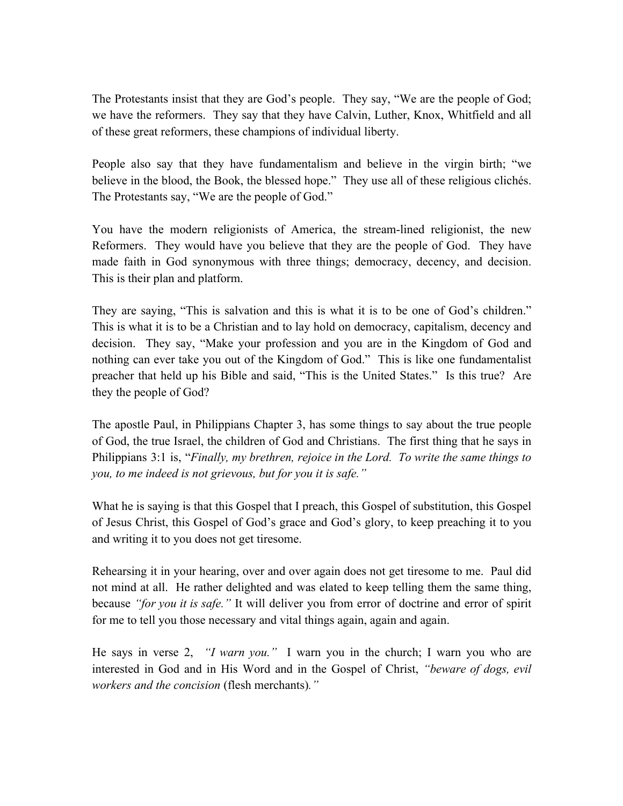The Protestants insist that they are God's people. They say, "We are the people of God; we have the reformers. They say that they have Calvin, Luther, Knox, Whitfield and all of these great reformers, these champions of individual liberty.

People also say that they have fundamentalism and believe in the virgin birth; "we believe in the blood, the Book, the blessed hope." They use all of these religious clichés. The Protestants say, "We are the people of God."

You have the modern religionists of America, the stream-lined religionist, the new Reformers. They would have you believe that they are the people of God. They have made faith in God synonymous with three things; democracy, decency, and decision. This is their plan and platform.

They are saying, "This is salvation and this is what it is to be one of God's children." This is what it is to be a Christian and to lay hold on democracy, capitalism, decency and decision. They say, "Make your profession and you are in the Kingdom of God and nothing can ever take you out of the Kingdom of God." This is like one fundamentalist preacher that held up his Bible and said, "This is the United States." Is this true? Are they the people of God?

The apostle Paul, in Philippians Chapter 3, has some things to say about the true people of God, the true Israel, the children of God and Christians. The first thing that he says in Philippians 3:1 is, "*Finally, my brethren, rejoice in the Lord. To write the same things to you, to me indeed is not grievous, but for you it is safe."*

What he is saying is that this Gospel that I preach, this Gospel of substitution, this Gospel of Jesus Christ, this Gospel of God's grace and God's glory, to keep preaching it to you and writing it to you does not get tiresome.

Rehearsing it in your hearing, over and over again does not get tiresome to me. Paul did not mind at all. He rather delighted and was elated to keep telling them the same thing, because *"for you it is safe."* It will deliver you from error of doctrine and error of spirit for me to tell you those necessary and vital things again, again and again.

He says in verse 2, *"I warn you."* I warn you in the church; I warn you who are interested in God and in His Word and in the Gospel of Christ, *"beware of dogs, evil workers and the concision* (flesh merchants)*."*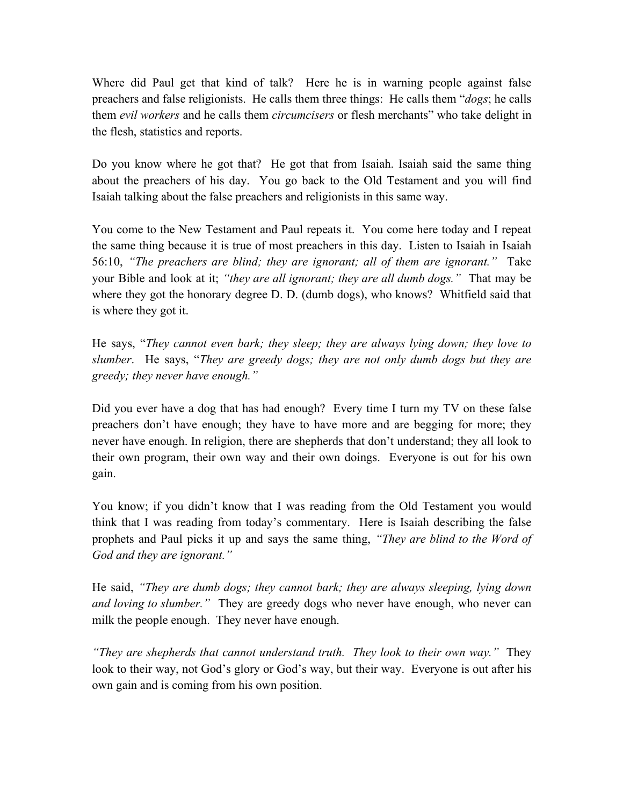Where did Paul get that kind of talk? Here he is in warning people against false preachers and false religionists. He calls them three things: He calls them "*dogs*; he calls them *evil workers* and he calls them *circumcisers* or flesh merchants" who take delight in the flesh, statistics and reports.

Do you know where he got that? He got that from Isaiah. Isaiah said the same thing about the preachers of his day. You go back to the Old Testament and you will find Isaiah talking about the false preachers and religionists in this same way.

You come to the New Testament and Paul repeats it. You come here today and I repeat the same thing because it is true of most preachers in this day. Listen to Isaiah in Isaiah 56:10, *"The preachers are blind; they are ignorant; all of them are ignorant."* Take your Bible and look at it; *"they are all ignorant; they are all dumb dogs."* That may be where they got the honorary degree D. D. (dumb dogs), who knows? Whitfield said that is where they got it.

He says, "*They cannot even bark; they sleep; they are always lying down; they love to slumber*. He says, "*They are greedy dogs; they are not only dumb dogs but they are greedy; they never have enough."*

Did you ever have a dog that has had enough? Every time I turn my TV on these false preachers don't have enough; they have to have more and are begging for more; they never have enough. In religion, there are shepherds that don't understand; they all look to their own program, their own way and their own doings. Everyone is out for his own gain.

You know; if you didn't know that I was reading from the Old Testament you would think that I was reading from today's commentary. Here is Isaiah describing the false prophets and Paul picks it up and says the same thing, *"They are blind to the Word of God and they are ignorant."* 

He said, *"They are dumb dogs; they cannot bark; they are always sleeping, lying down and loving to slumber."* They are greedy dogs who never have enough, who never can milk the people enough. They never have enough.

*"They are shepherds that cannot understand truth. They look to their own way."* They look to their way, not God's glory or God's way, but their way. Everyone is out after his own gain and is coming from his own position.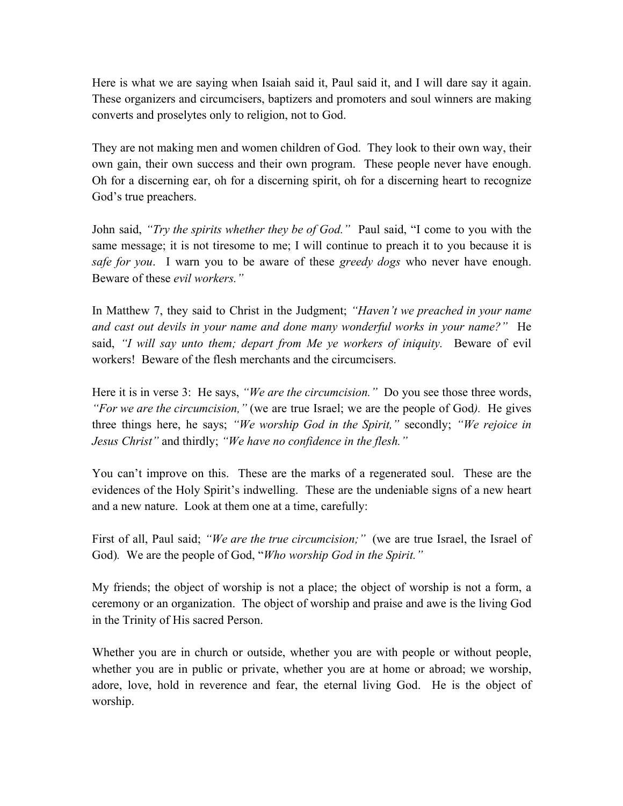Here is what we are saying when Isaiah said it, Paul said it, and I will dare say it again. These organizers and circumcisers, baptizers and promoters and soul winners are making converts and proselytes only to religion, not to God.

They are not making men and women children of God. They look to their own way, their own gain, their own success and their own program. These people never have enough. Oh for a discerning ear, oh for a discerning spirit, oh for a discerning heart to recognize God's true preachers.

John said, *"Try the spirits whether they be of God."* Paul said, "I come to you with the same message; it is not tiresome to me; I will continue to preach it to you because it is *safe for you*. I warn you to be aware of these *greedy dogs* who never have enough. Beware of these *evil workers."*

In Matthew 7, they said to Christ in the Judgment; *"Haven't we preached in your name and cast out devils in your name and done many wonderful works in your name?"* He said, *"I will say unto them; depart from Me ye workers of iniquity.* Beware of evil workers! Beware of the flesh merchants and the circumcisers.

Here it is in verse 3: He says, *"We are the circumcision."* Do you see those three words, *"For we are the circumcision,"* (we are true Israel; we are the people of God*).* He gives three things here, he says; *"We worship God in the Spirit,"* secondly; *"We rejoice in Jesus Christ"* and thirdly; *"We have no confidence in the flesh."*

You can't improve on this. These are the marks of a regenerated soul. These are the evidences of the Holy Spirit's indwelling. These are the undeniable signs of a new heart and a new nature. Look at them one at a time, carefully:

First of all, Paul said; *"We are the true circumcision;"* (we are true Israel, the Israel of God)*.* We are the people of God, "*Who worship God in the Spirit."*

My friends; the object of worship is not a place; the object of worship is not a form, a ceremony or an organization. The object of worship and praise and awe is the living God in the Trinity of His sacred Person.

Whether you are in church or outside, whether you are with people or without people, whether you are in public or private, whether you are at home or abroad; we worship, adore, love, hold in reverence and fear, the eternal living God. He is the object of worship.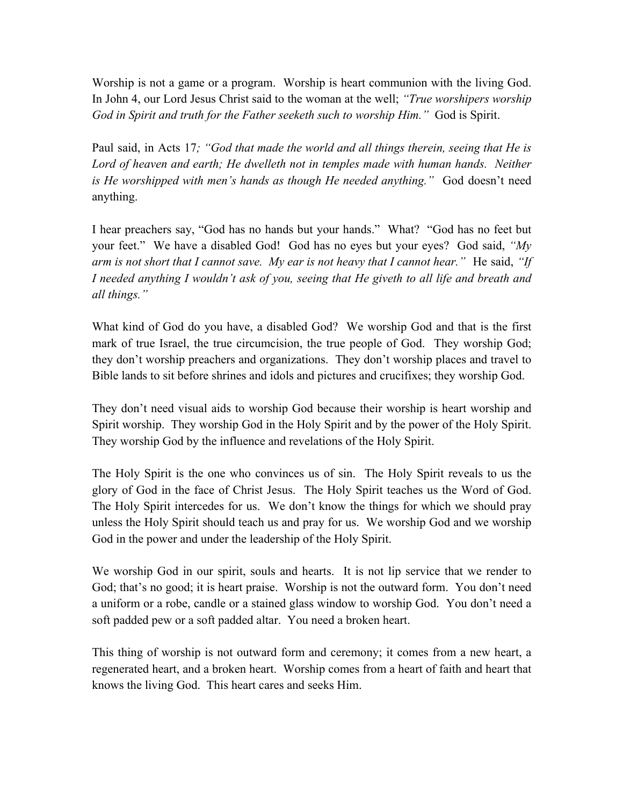Worship is not a game or a program. Worship is heart communion with the living God. In John 4, our Lord Jesus Christ said to the woman at the well; *"True worshipers worship God in Spirit and truth for the Father seeketh such to worship Him."* God is Spirit.

Paul said, in Acts 17*; "God that made the world and all things therein, seeing that He is*  Lord of heaven and earth; He dwelleth not in temples made with human hands. Neither *is He worshipped with men's hands as though He needed anything."* God doesn't need anything.

I hear preachers say, "God has no hands but your hands." What? "God has no feet but your feet." We have a disabled God! God has no eyes but your eyes? God said, *"My arm is not short that I cannot save. My ear is not heavy that I cannot hear."* He said, *"If I needed anything I wouldn't ask of you, seeing that He giveth to all life and breath and all things."* 

What kind of God do you have, a disabled God? We worship God and that is the first mark of true Israel, the true circumcision, the true people of God. They worship God; they don't worship preachers and organizations. They don't worship places and travel to Bible lands to sit before shrines and idols and pictures and crucifixes; they worship God.

They don't need visual aids to worship God because their worship is heart worship and Spirit worship. They worship God in the Holy Spirit and by the power of the Holy Spirit. They worship God by the influence and revelations of the Holy Spirit.

The Holy Spirit is the one who convinces us of sin. The Holy Spirit reveals to us the glory of God in the face of Christ Jesus. The Holy Spirit teaches us the Word of God. The Holy Spirit intercedes for us. We don't know the things for which we should pray unless the Holy Spirit should teach us and pray for us. We worship God and we worship God in the power and under the leadership of the Holy Spirit.

We worship God in our spirit, souls and hearts. It is not lip service that we render to God; that's no good; it is heart praise. Worship is not the outward form. You don't need a uniform or a robe, candle or a stained glass window to worship God. You don't need a soft padded pew or a soft padded altar. You need a broken heart.

This thing of worship is not outward form and ceremony; it comes from a new heart, a regenerated heart, and a broken heart. Worship comes from a heart of faith and heart that knows the living God. This heart cares and seeks Him.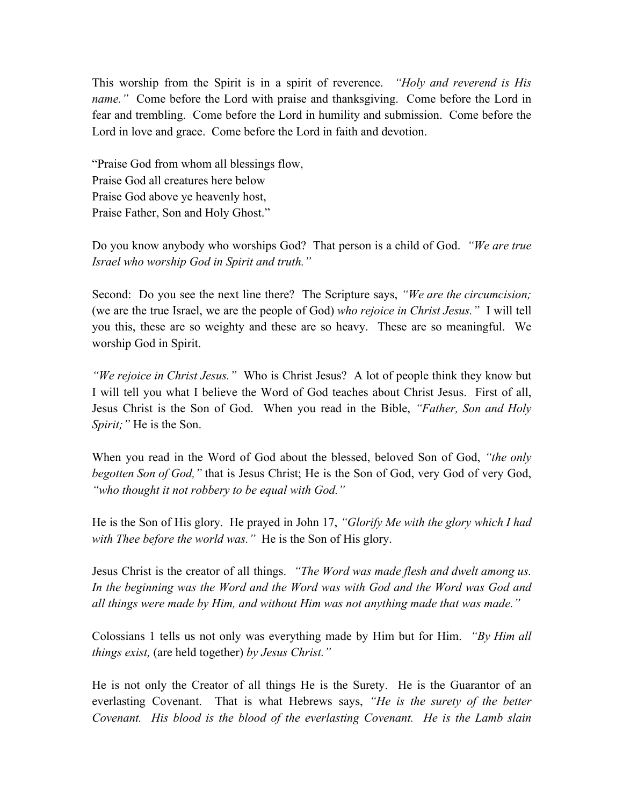This worship from the Spirit is in a spirit of reverence. *"Holy and reverend is His name."* Come before the Lord with praise and thanksgiving. Come before the Lord in fear and trembling. Come before the Lord in humility and submission. Come before the Lord in love and grace. Come before the Lord in faith and devotion.

"Praise God from whom all blessings flow, Praise God all creatures here below Praise God above ye heavenly host, Praise Father, Son and Holy Ghost."

Do you know anybody who worships God? That person is a child of God. *"We are true Israel who worship God in Spirit and truth."*

Second: Do you see the next line there? The Scripture says, *"We are the circumcision;*  (we are the true Israel, we are the people of God) *who rejoice in Christ Jesus."* I will tell you this, these are so weighty and these are so heavy. These are so meaningful. We worship God in Spirit.

*"We rejoice in Christ Jesus."* Who is Christ Jesus? A lot of people think they know but I will tell you what I believe the Word of God teaches about Christ Jesus. First of all, Jesus Christ is the Son of God. When you read in the Bible, *"Father, Son and Holy Spirit;"* He is the Son.

When you read in the Word of God about the blessed, beloved Son of God, *"the only begotten Son of God,"* that is Jesus Christ; He is the Son of God, very God of very God, *"who thought it not robbery to be equal with God."* 

He is the Son of His glory. He prayed in John 17, *"Glorify Me with the glory which I had with Thee before the world was."* He is the Son of His glory.

Jesus Christ is the creator of all things. *"The Word was made flesh and dwelt among us. In the beginning was the Word and the Word was with God and the Word was God and all things were made by Him, and without Him was not anything made that was made."*

Colossians 1 tells us not only was everything made by Him but for Him. *"By Him all things exist,* (are held together) *by Jesus Christ."*

He is not only the Creator of all things He is the Surety. He is the Guarantor of an everlasting Covenant. That is what Hebrews says, *"He is the surety of the better Covenant. His blood is the blood of the everlasting Covenant. He is the Lamb slain*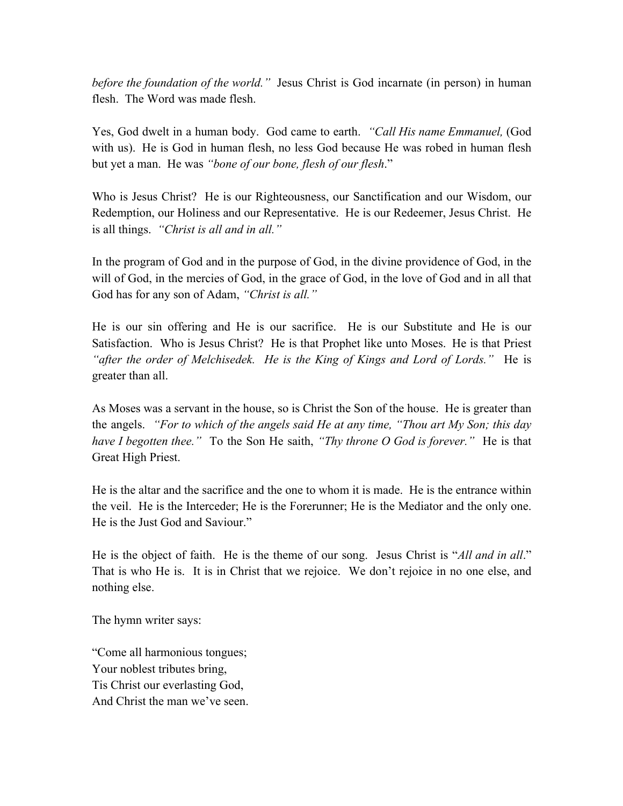*before the foundation of the world."* Jesus Christ is God incarnate (in person) in human flesh. The Word was made flesh.

Yes, God dwelt in a human body. God came to earth. *"Call His name Emmanuel,* (God with us). He is God in human flesh, no less God because He was robed in human flesh but yet a man. He was *"bone of our bone, flesh of our flesh*."

Who is Jesus Christ? He is our Righteousness, our Sanctification and our Wisdom, our Redemption, our Holiness and our Representative. He is our Redeemer, Jesus Christ. He is all things. *"Christ is all and in all."*

In the program of God and in the purpose of God, in the divine providence of God, in the will of God, in the mercies of God, in the grace of God, in the love of God and in all that God has for any son of Adam, *"Christ is all."*

He is our sin offering and He is our sacrifice. He is our Substitute and He is our Satisfaction. Who is Jesus Christ? He is that Prophet like unto Moses.He is that Priest *"after the order of Melchisedek. He is the King of Kings and Lord of Lords."* He is greater than all.

As Moses was a servant in the house, so is Christ the Son of the house. He is greater than the angels. *"For to which of the angels said He at any time, "Thou art My Son; this day have I begotten thee."* To the Son He saith, *"Thy throne O God is forever."* He is that Great High Priest.

He is the altar and the sacrifice and the one to whom it is made. He is the entrance within the veil. He is the Interceder; He is the Forerunner; He is the Mediator and the only one. He is the Just God and Saviour."

He is the object of faith. He is the theme of our song. Jesus Christ is "*All and in all*." That is who He is. It is in Christ that we rejoice. We don't rejoice in no one else, and nothing else.

The hymn writer says:

"Come all harmonious tongues; Your noblest tributes bring, Tis Christ our everlasting God, And Christ the man we've seen.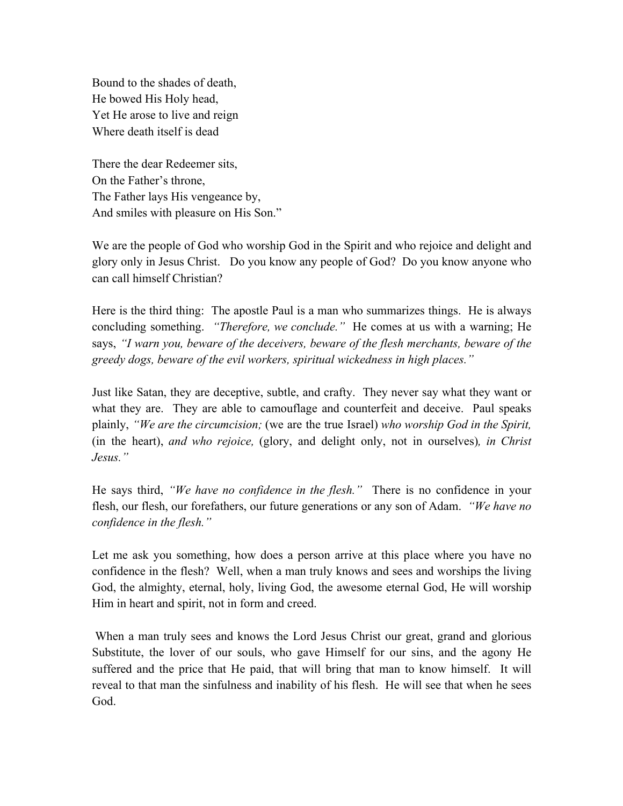Bound to the shades of death, He bowed His Holy head, Yet He arose to live and reign Where death itself is dead

There the dear Redeemer sits, On the Father's throne, The Father lays His vengeance by, And smiles with pleasure on His Son."

We are the people of God who worship God in the Spirit and who rejoice and delight and glory only in Jesus Christ. Do you know any people of God? Do you know anyone who can call himself Christian?

Here is the third thing: The apostle Paul is a man who summarizes things. He is always concluding something. *"Therefore, we conclude."* He comes at us with a warning; He says, *"I warn you, beware of the deceivers, beware of the flesh merchants, beware of the greedy dogs, beware of the evil workers, spiritual wickedness in high places."* 

Just like Satan, they are deceptive, subtle, and crafty. They never say what they want or what they are. They are able to camouflage and counterfeit and deceive. Paul speaks plainly, *"We are the circumcision;* (we are the true Israel) *who worship God in the Spirit,*  (in the heart), *and who rejoice,* (glory, and delight only, not in ourselves)*, in Christ Jesus."*

He says third, *"We have no confidence in the flesh."* There is no confidence in your flesh, our flesh, our forefathers, our future generations or any son of Adam. *"We have no confidence in the flesh."*

Let me ask you something, how does a person arrive at this place where you have no confidence in the flesh? Well, when a man truly knows and sees and worships the living God, the almighty, eternal, holy, living God, the awesome eternal God, He will worship Him in heart and spirit, not in form and creed.

When a man truly sees and knows the Lord Jesus Christ our great, grand and glorious Substitute, the lover of our souls, who gave Himself for our sins, and the agony He suffered and the price that He paid, that will bring that man to know himself. It will reveal to that man the sinfulness and inability of his flesh. He will see that when he sees God.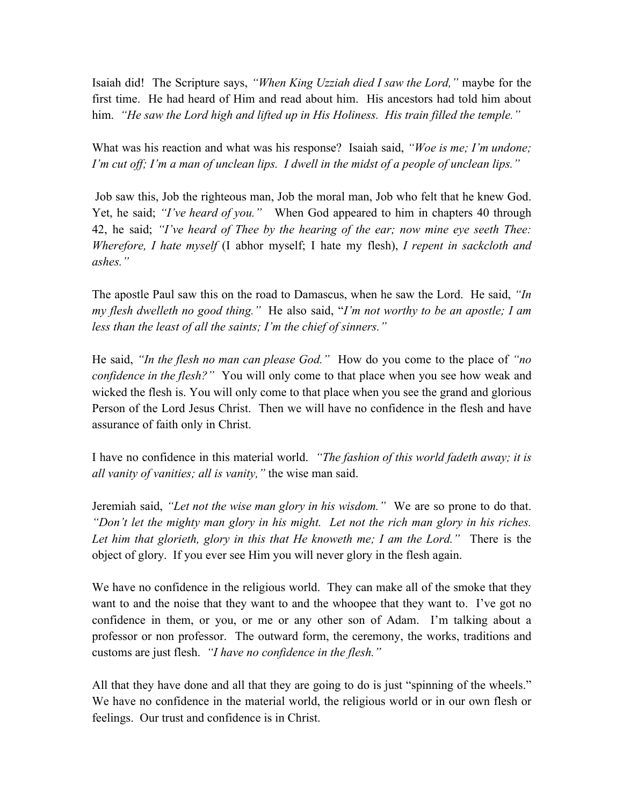Isaiah did! The Scripture says, *"When King Uzziah died I saw the Lord,"* maybe for the first time. He had heard of Him and read about him. His ancestors had told him about him. *"He saw the Lord high and lifted up in His Holiness. His train filled the temple."*

What was his reaction and what was his response? Isaiah said, *"Woe is me; I'm undone; I'm cut off; I'm a man of unclean lips. I dwell in the midst of a people of unclean lips."* 

Job saw this, Job the righteous man, Job the moral man, Job who felt that he knew God. Yet, he said; *"I've heard of you."* When God appeared to him in chapters 40 through 42, he said; *"I've heard of Thee by the hearing of the ear; now mine eye seeth Thee: Wherefore, I hate myself* (I abhor myself; I hate my flesh), *I repent in sackcloth and ashes."*

The apostle Paul saw this on the road to Damascus, when he saw the Lord. He said, *"In my flesh dwelleth no good thing."* He also said, "*I'm not worthy to be an apostle; I am less than the least of all the saints; I'm the chief of sinners."*

He said, *"In the flesh no man can please God."* How do you come to the place of *"no confidence in the flesh?"* You will only come to that place when you see how weak and wicked the flesh is. You will only come to that place when you see the grand and glorious Person of the Lord Jesus Christ. Then we will have no confidence in the flesh and have assurance of faith only in Christ.

I have no confidence in this material world. *"The fashion of this world fadeth away; it is all vanity of vanities; all is vanity,"* the wise man said.

Jeremiah said, *"Let not the wise man glory in his wisdom."* We are so prone to do that. *"Don't let the mighty man glory in his might. Let not the rich man glory in his riches. Let him that glorieth, glory in this that He knoweth me; I am the Lord."* There is the object of glory. If you ever see Him you will never glory in the flesh again.

We have no confidence in the religious world. They can make all of the smoke that they want to and the noise that they want to and the whoopee that they want to. I've got no confidence in them, or you, or me or any other son of Adam. I'm talking about a professor or non professor. The outward form, the ceremony, the works, traditions and customs are just flesh. *"I have no confidence in the flesh."*

All that they have done and all that they are going to do is just "spinning of the wheels." We have no confidence in the material world, the religious world or in our own flesh or feelings. Our trust and confidence is in Christ.